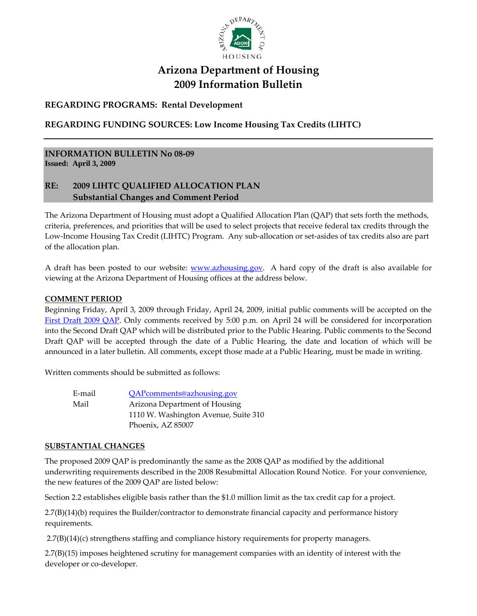

# **Arizona Department of Housing 2009 Information Bulletin**

## **REGARDING PROGRAMS: Rental Development**

## **REGARDING FUNDING SOURCES: Low Income Housing Tax Credits (LIHTC)**

**INFORMATION BULLETIN No 08‐09 Issued: April 3, 2009** 

# **RE: 2009 LIHTC QUALIFIED ALLOCATION PLAN Substantial Changes and Comment Period**

The Arizona Department of Housing must adopt a Qualified Allocation Plan (QAP) that sets forth the methods, criteria, preferences, and priorities that will be used to select projects that receive federal tax credits through the Low‐Income Housing Tax Credit (LIHTC) Program. Any sub‐allocation or set‐asides of tax credits also are part of the allocation plan.

A draft has been posted to our website: [www.azhousing.gov](http://www.azhousing.gov/). A hard copy of the draft is also available for viewing at the Arizona Department of Housing offices at the address below.

### **COMMENT PERIOD**

Beginning Friday, April 3, 2009 through Friday, April 24, 2009, initial public comments will be accepted on the First [Draft](http://azcms.housingaz.com/azcms/uploads/RENTAL%20APPLICATIONS/LIHTC/09%20QAP/2009_QAP_Draft_04-01-09.pdf) 2009 QAP. Only comments received by 5:00 p.m. on April 24 will be considered for incorporation into the Second Draft QAP which will be distributed prior to the Public Hearing. Public comments to the Second Draft QAP will be accepted through the date of a Public Hearing, the date and location of which will be announced in a later bulletin. All comments, except those made at a Public Hearing, must be made in writing.

Written comments should be submitted as follows:

| E-mail | <b>QAP</b> comments@azhousing.gov    |
|--------|--------------------------------------|
| Mail   | Arizona Department of Housing        |
|        | 1110 W. Washington Avenue, Suite 310 |
|        | Phoenix, AZ 85007                    |

### **SUBSTANTIAL CHANGES**

The proposed 2009 QAP is predominantly the same as the 2008 QAP as modified by the additional underwriting requirements described in the 2008 Resubmittal Allocation Round Notice. For your convenience, the new features of the 2009 QAP are listed below:

Section 2.2 establishes eligible basis rather than the \$1.0 million limit as the tax credit cap for a project.

2.7(B)(14)(b) requires the Builder/contractor to demonstrate financial capacity and performance history requirements.

2.7(B)(14)(c) strengthens staffing and compliance history requirements for property managers.

2.7(B)(15) imposes heightened scrutiny for management companies with an identity of interest with the developer or co-developer.